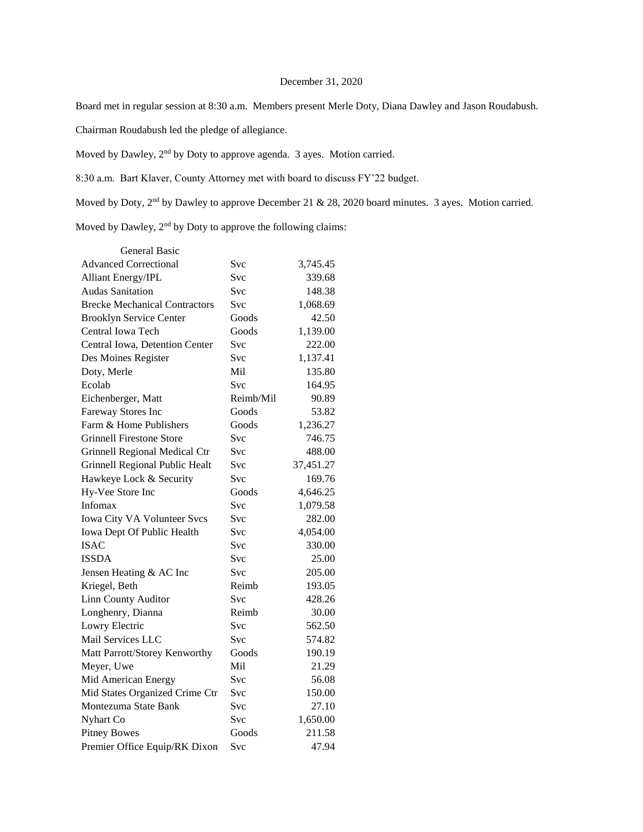# December 31, 2020

Board met in regular session at 8:30 a.m. Members present Merle Doty, Diana Dawley and Jason Roudabush.

Chairman Roudabush led the pledge of allegiance.

Moved by Dawley, 2nd by Doty to approve agenda. 3 ayes. Motion carried.

8:30 a.m. Bart Klaver, County Attorney met with board to discuss FY'22 budget.

Moved by Doty, 2<sup>nd</sup> by Dawley to approve December 21 & 28, 2020 board minutes. 3 ayes. Motion carried.

Moved by Dawley, 2nd by Doty to approve the following claims:

| <b>General Basic</b>                 |            |           |
|--------------------------------------|------------|-----------|
| <b>Advanced Correctional</b>         | Svc        | 3,745.45  |
| <b>Alliant Energy/IPL</b>            | Svc        | 339.68    |
| <b>Audas Sanitation</b>              | Svc        | 148.38    |
| <b>Brecke Mechanical Contractors</b> | <b>Svc</b> | 1,068.69  |
| <b>Brooklyn Service Center</b>       | Goods      | 42.50     |
| Central Iowa Tech                    | Goods      | 1,139.00  |
| Central Iowa, Detention Center       | <b>Svc</b> | 222.00    |
| Des Moines Register                  | <b>Svc</b> | 1,137.41  |
| Doty, Merle                          | Mil        | 135.80    |
| Ecolab                               | <b>Svc</b> | 164.95    |
| Eichenberger, Matt                   | Reimb/Mil  | 90.89     |
| Fareway Stores Inc                   | Goods      | 53.82     |
| Farm & Home Publishers               | Goods      | 1,236.27  |
| <b>Grinnell Firestone Store</b>      | Svc        | 746.75    |
| Grinnell Regional Medical Ctr        | Svc        | 488.00    |
| Grinnell Regional Public Healt       | Svc        | 37,451.27 |
| Hawkeye Lock & Security              | <b>Svc</b> | 169.76    |
| Hy-Vee Store Inc                     | Goods      | 4,646.25  |
| Infomax                              | <b>Svc</b> | 1,079.58  |
| Iowa City VA Volunteer Svcs          | Svc        | 282.00    |
| Iowa Dept Of Public Health           | <b>Svc</b> | 4,054.00  |
| <b>ISAC</b>                          | <b>Svc</b> | 330.00    |
| <b>ISSDA</b>                         | Svc        | 25.00     |
| Jensen Heating & AC Inc              | <b>Svc</b> | 205.00    |
| Kriegel, Beth                        | Reimb      | 193.05    |
| <b>Linn County Auditor</b>           | Svc        | 428.26    |
| Longhenry, Dianna                    | Reimb      | 30.00     |
| Lowry Electric                       | <b>Svc</b> | 562.50    |
| Mail Services LLC                    | Svc        | 574.82    |
| Matt Parrott/Storey Kenworthy        | Goods      | 190.19    |
| Meyer, Uwe                           | Mil        | 21.29     |
| Mid American Energy                  | Svc        | 56.08     |
| Mid States Organized Crime Ctr       | Svc        | 150.00    |
| Montezuma State Bank                 | <b>Svc</b> | 27.10     |
| Nyhart Co                            | Svc        | 1,650.00  |
| <b>Pitney Bowes</b>                  | Goods      | 211.58    |
| Premier Office Equip/RK Dixon        | Svc        | 47.94     |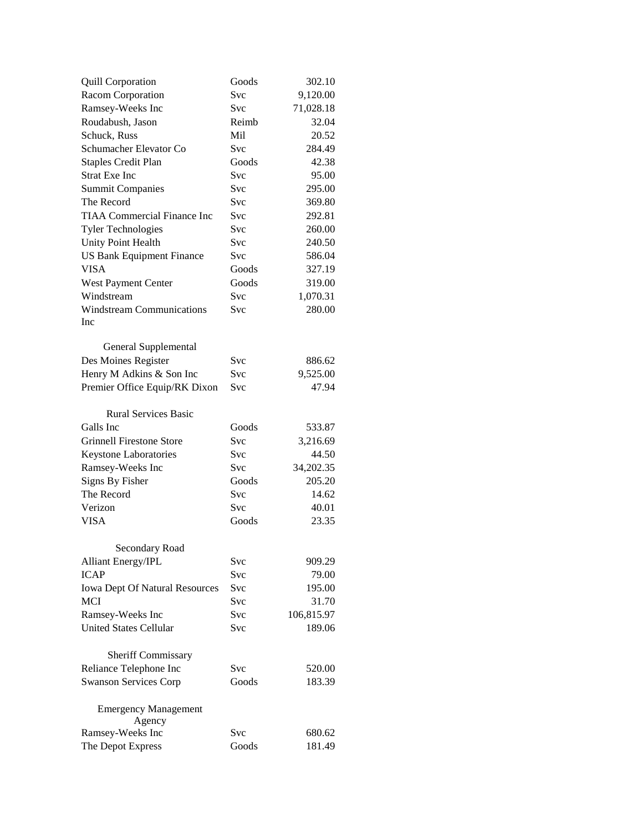| <b>Quill Corporation</b>              | Goods      | 302.10     |
|---------------------------------------|------------|------------|
| Racom Corporation                     | <b>Svc</b> | 9,120.00   |
| Ramsey-Weeks Inc                      | Svc        | 71,028.18  |
| Roudabush, Jason                      | Reimb      | 32.04      |
| Schuck, Russ                          | Mil        | 20.52      |
| Schumacher Elevator Co                | Svc        | 284.49     |
| <b>Staples Credit Plan</b>            | Goods      | 42.38      |
| <b>Strat Exe Inc</b>                  | Svc        | 95.00      |
| <b>Summit Companies</b>               | Svc        | 295.00     |
| The Record                            | Svc        | 369.80     |
| <b>TIAA Commercial Finance Inc</b>    | Svc        | 292.81     |
| <b>Tyler Technologies</b>             | Svc        | 260.00     |
| Unity Point Health                    | Svc        | 240.50     |
| <b>US Bank Equipment Finance</b>      | Svc        | 586.04     |
| <b>VISA</b>                           | Goods      | 327.19     |
| West Payment Center                   | Goods      | 319.00     |
| Windstream                            | Svc        | 1,070.31   |
| <b>Windstream Communications</b>      | Svc        | 280.00     |
| Inc                                   |            |            |
|                                       |            |            |
| General Supplemental                  |            |            |
| Des Moines Register                   | Svc        | 886.62     |
| Henry M Adkins & Son Inc              | Svc        | 9,525.00   |
| Premier Office Equip/RK Dixon         | Svc        | 47.94      |
|                                       |            |            |
| <b>Rural Services Basic</b>           |            |            |
| Galls Inc                             | Goods      | 533.87     |
| <b>Grinnell Firestone Store</b>       | Svc        | 3,216.69   |
| Keystone Laboratories                 | Svc        | 44.50      |
| Ramsey-Weeks Inc                      | Svc        | 34,202.35  |
| Signs By Fisher                       | Goods      | 205.20     |
| The Record                            | Svc        | 14.62      |
| Verizon                               | Svc        | 40.01      |
| <b>VISA</b>                           | Goods      | 23.35      |
|                                       |            |            |
| <b>Secondary Road</b>                 |            |            |
| <b>Alliant Energy/IPL</b>             | Svc        | 909.29     |
| <b>ICAP</b>                           | Svc        | 79.00      |
| <b>Iowa Dept Of Natural Resources</b> | Svc        | 195.00     |
| <b>MCI</b>                            | Svc        | 31.70      |
| Ramsey-Weeks Inc                      | Svc        | 106,815.97 |
| <b>United States Cellular</b>         | Svc        | 189.06     |
|                                       |            |            |
| Sheriff Commissary                    |            |            |
| Reliance Telephone Inc                | Svc        | 520.00     |
| <b>Swanson Services Corp</b>          | Goods      | 183.39     |
| <b>Emergency Management</b><br>Agency |            |            |
| Ramsey-Weeks Inc                      | Svc        | 680.62     |
| The Depot Express                     | Goods      | 181.49     |
|                                       |            |            |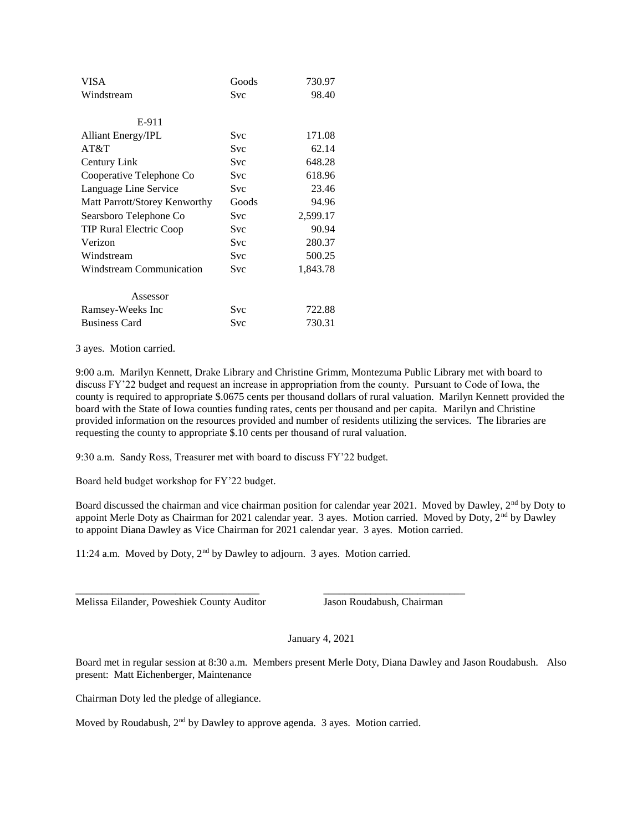| <b>VISA</b>                    | Goods      | 730.97   |
|--------------------------------|------------|----------|
| Windstream                     | <b>Svc</b> | 98.40    |
| E-911                          |            |          |
| <b>Alliant Energy/IPL</b>      | Svc        | 171.08   |
| AT&T                           | Svc        | 62.14    |
| Century Link                   | Svc        | 648.28   |
| Cooperative Telephone Co       | Svc        | 618.96   |
| Language Line Service          | Svc        | 23.46    |
| Matt Parrott/Storey Kenworthy  | Goods      | 94.96    |
| Searsboro Telephone Co         | Svc        | 2,599.17 |
| <b>TIP Rural Electric Coop</b> | Svc        | 90.94    |
| Verizon                        | Svc        | 280.37   |
| Windstream                     | Svc        | 500.25   |
| Windstream Communication       | Svc        | 1,843.78 |
| Assessor                       |            |          |
| Ramsey-Weeks Inc               | Svc        | 722.88   |
| <b>Business Card</b>           | Svc        | 730.31   |

3 ayes. Motion carried.

9:00 a.m. Marilyn Kennett, Drake Library and Christine Grimm, Montezuma Public Library met with board to discuss FY'22 budget and request an increase in appropriation from the county. Pursuant to Code of Iowa, the county is required to appropriate \$.0675 cents per thousand dollars of rural valuation. Marilyn Kennett provided the board with the State of Iowa counties funding rates, cents per thousand and per capita. Marilyn and Christine provided information on the resources provided and number of residents utilizing the services. The libraries are requesting the county to appropriate \$.10 cents per thousand of rural valuation.

9:30 a.m. Sandy Ross, Treasurer met with board to discuss FY'22 budget.

Board held budget workshop for FY'22 budget.

Board discussed the chairman and vice chairman position for calendar year 2021. Moved by Dawley, 2<sup>nd</sup> by Doty to appoint Merle Doty as Chairman for 2021 calendar year. 3 ayes. Motion carried. Moved by Doty, 2<sup>nd</sup> by Dawley to appoint Diana Dawley as Vice Chairman for 2021 calendar year. 3 ayes. Motion carried.

11:24 a.m. Moved by Doty, 2nd by Dawley to adjourn. 3 ayes. Motion carried.

\_\_\_\_\_\_\_\_\_\_\_\_\_\_\_\_\_\_\_\_\_\_\_\_\_\_\_\_\_\_\_\_\_\_\_ \_\_\_\_\_\_\_\_\_\_\_\_\_\_\_\_\_\_\_\_\_\_\_\_\_\_\_

Melissa Eilander, Poweshiek County Auditor Jason Roudabush, Chairman

January 4, 2021

Board met in regular session at 8:30 a.m. Members present Merle Doty, Diana Dawley and Jason Roudabush. Also present: Matt Eichenberger, Maintenance

Chairman Doty led the pledge of allegiance.

Moved by Roudabush, 2nd by Dawley to approve agenda. 3 ayes. Motion carried.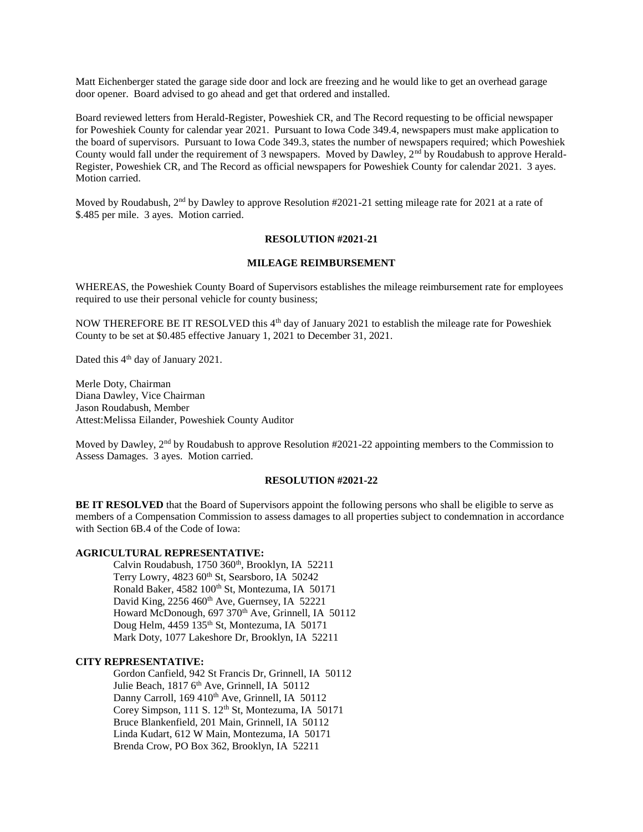Matt Eichenberger stated the garage side door and lock are freezing and he would like to get an overhead garage door opener. Board advised to go ahead and get that ordered and installed.

Board reviewed letters from Herald-Register, Poweshiek CR, and The Record requesting to be official newspaper for Poweshiek County for calendar year 2021. Pursuant to Iowa Code 349.4, newspapers must make application to the board of supervisors. Pursuant to Iowa Code 349.3, states the number of newspapers required; which Poweshiek County would fall under the requirement of 3 newspapers. Moved by Dawley, 2<sup>nd</sup> by Roudabush to approve Herald-Register, Poweshiek CR, and The Record as official newspapers for Poweshiek County for calendar 2021. 3 ayes. Motion carried.

Moved by Roudabush, 2<sup>nd</sup> by Dawley to approve Resolution #2021-21 setting mileage rate for 2021 at a rate of \$.485 per mile. 3 ayes. Motion carried.

## **RESOLUTION #2021-21**

#### **MILEAGE REIMBURSEMENT**

WHEREAS, the Poweshiek County Board of Supervisors establishes the mileage reimbursement rate for employees required to use their personal vehicle for county business;

NOW THEREFORE BE IT RESOLVED this 4<sup>th</sup> day of January 2021 to establish the mileage rate for Poweshiek County to be set at \$0.485 effective January 1, 2021 to December 31, 2021.

Dated this 4<sup>th</sup> day of January 2021.

Merle Doty, Chairman Diana Dawley, Vice Chairman Jason Roudabush, Member Attest:Melissa Eilander, Poweshiek County Auditor

Moved by Dawley, 2<sup>nd</sup> by Roudabush to approve Resolution #2021-22 appointing members to the Commission to Assess Damages. 3 ayes. Motion carried.

#### **RESOLUTION #2021-22**

**BE IT RESOLVED** that the Board of Supervisors appoint the following persons who shall be eligible to serve as members of a Compensation Commission to assess damages to all properties subject to condemnation in accordance with Section 6B.4 of the Code of Iowa:

## **AGRICULTURAL REPRESENTATIVE:**

Calvin Roudabush, 1750 360<sup>th</sup>, Brooklyn, IA 52211 Terry Lowry, 4823 60<sup>th</sup> St, Searsboro, IA 50242 Ronald Baker, 4582 100<sup>th</sup> St, Montezuma, IA 50171 David King, 2256 460<sup>th</sup> Ave, Guernsey, IA 52221 Howard McDonough, 697 370<sup>th</sup> Ave, Grinnell, IA 50112 Doug Helm, 4459 135<sup>th</sup> St, Montezuma, IA 50171 Mark Doty, 1077 Lakeshore Dr, Brooklyn, IA 52211

# **CITY REPRESENTATIVE:**

Gordon Canfield, 942 St Francis Dr, Grinnell, IA 50112 Julie Beach, 1817 6<sup>th</sup> Ave, Grinnell, IA 50112 Danny Carroll, 169 410<sup>th</sup> Ave, Grinnell, IA 50112 Corey Simpson, 111 S. 12<sup>th</sup> St, Montezuma, IA 50171 Bruce Blankenfield, 201 Main, Grinnell, IA 50112 Linda Kudart, 612 W Main, Montezuma, IA 50171 Brenda Crow, PO Box 362, Brooklyn, IA 52211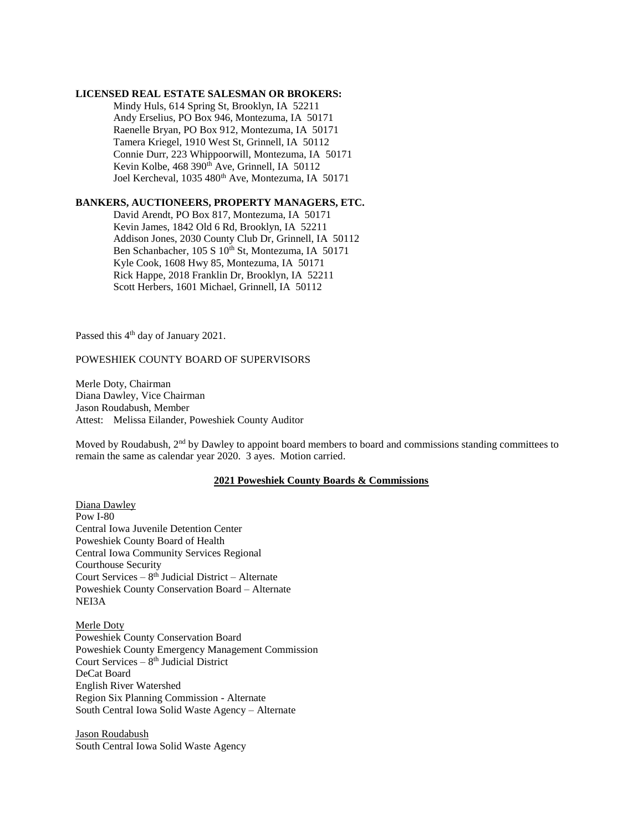#### **LICENSED REAL ESTATE SALESMAN OR BROKERS:**

Mindy Huls, 614 Spring St, Brooklyn, IA 52211 Andy Erselius, PO Box 946, Montezuma, IA 50171 Raenelle Bryan, PO Box 912, Montezuma, IA 50171 Tamera Kriegel, 1910 West St, Grinnell, IA 50112 Connie Durr, 223 Whippoorwill, Montezuma, IA 50171 Kevin Kolbe, 468 390<sup>th</sup> Ave, Grinnell, IA 50112 Joel Kercheval, 1035 480<sup>th</sup> Ave, Montezuma, IA 50171

# **BANKERS, AUCTIONEERS, PROPERTY MANAGERS, ETC.**

David Arendt, PO Box 817, Montezuma, IA 50171 Kevin James, 1842 Old 6 Rd, Brooklyn, IA 52211 Addison Jones, 2030 County Club Dr, Grinnell, IA 50112 Ben Schanbacher, 105 S 10<sup>th</sup> St, Montezuma, IA 50171 Kyle Cook, 1608 Hwy 85, Montezuma, IA 50171 Rick Happe, 2018 Franklin Dr, Brooklyn, IA 52211 Scott Herbers, 1601 Michael, Grinnell, IA 50112

Passed this 4<sup>th</sup> day of January 2021.

## POWESHIEK COUNTY BOARD OF SUPERVISORS

Merle Doty, Chairman Diana Dawley, Vice Chairman Jason Roudabush, Member Attest: Melissa Eilander, Poweshiek County Auditor

Moved by Roudabush,  $2<sup>nd</sup>$  by Dawley to appoint board members to board and commissions standing committees to remain the same as calendar year 2020. 3 ayes. Motion carried.

## **2021 Poweshiek County Boards & Commissions**

Diana Dawley Pow I-80 Central Iowa Juvenile Detention Center Poweshiek County Board of Health Central Iowa Community Services Regional Courthouse Security Court Services – 8 th Judicial District – Alternate Poweshiek County Conservation Board – Alternate NEI3A

# Merle Doty

Poweshiek County Conservation Board Poweshiek County Emergency Management Commission Court Services - 8<sup>th</sup> Judicial District DeCat Board English River Watershed Region Six Planning Commission - Alternate South Central Iowa Solid Waste Agency – Alternate

Jason Roudabush South Central Iowa Solid Waste Agency